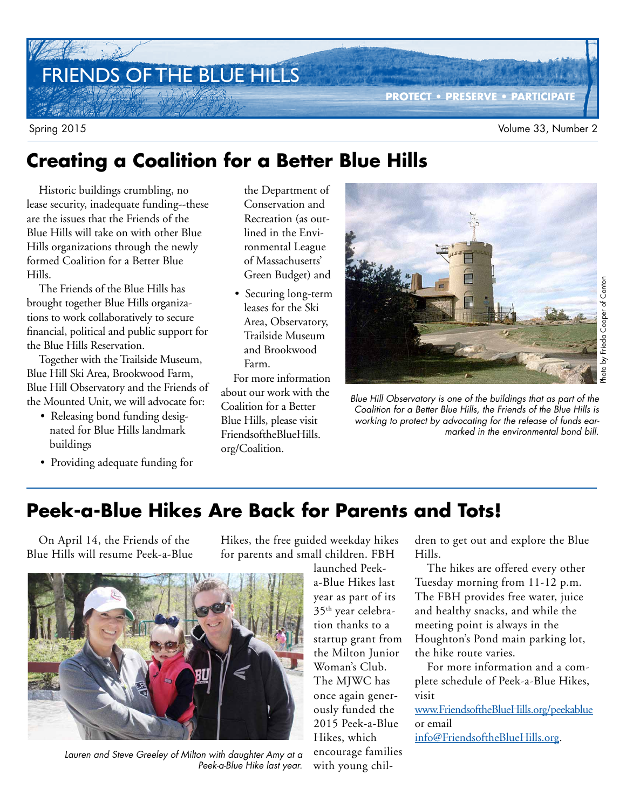# FRIENDS OF THE BLUE HILLS

# **Creating a Coalition for a Better Blue Hills**

Historic buildings crumbling, no lease security, inadequate funding--these are the issues that the Friends of the Blue Hills will take on with other Blue Hills organizations through the newly formed Coalition for a Better Blue Hills.

The Friends of the Blue Hills has brought together Blue Hills organizations to work collaboratively to secure financial, political and public support for the Blue Hills Reservation.

Together with the Trailside Museum, Blue Hill Ski Area, Brookwood Farm, Blue Hill Observatory and the Friends of the Mounted Unit, we will advocate for:

- Releasing bond funding designated for Blue Hills landmark buildings
- Providing adequate funding for

the Department of Conservation and Recreation (as outlined in the Environmental League of Massachusetts' Green Budget) and

• Securing long-term leases for the Ski Area, Observatory, Trailside Museum and Brookwood Farm.

For more information about our work with the Coalition for a Better Blue Hills, please visit FriendsoftheBlueHills. org/Coalition.



**PROTECT • PRESERVE • PARTICIPATE**

Blue Hill Observatory is one of the buildings that as part of the Coalition for a Better Blue Hills, the Friends of the Blue Hills is working to protect by advocating for the release of funds earmarked in the environmental bond bill.

# **Peek-a-Blue Hikes Are Back for Parents and Tots!**

On April 14, the Friends of the Blue Hills will resume Peek-a-Blue Hikes, the free guided weekday hikes for parents and small children. FBH



Lauren and Steve Greeley of Milton with daughter Amy at a Peek-a-Blue Hike last year.

launched Peeka-Blue Hikes last year as part of its 35th year celebration thanks to a startup grant from the Milton Junior Woman's Club. The MJWC has once again generously funded the 2015 Peek-a-Blue Hikes, which encourage families with young children to get out and explore the Blue Hills.

The hikes are offered every other Tuesday morning from 11-12 p.m. The FBH provides free water, juice and healthy snacks, and while the meeting point is always in the Houghton's Pond main parking lot, the hike route varies.

For more information and a complete schedule of Peek-a-Blue Hikes, visit

www.FriendsoftheBlueHills.org/peekablue or email

info@FriendsoftheBlueHills.org.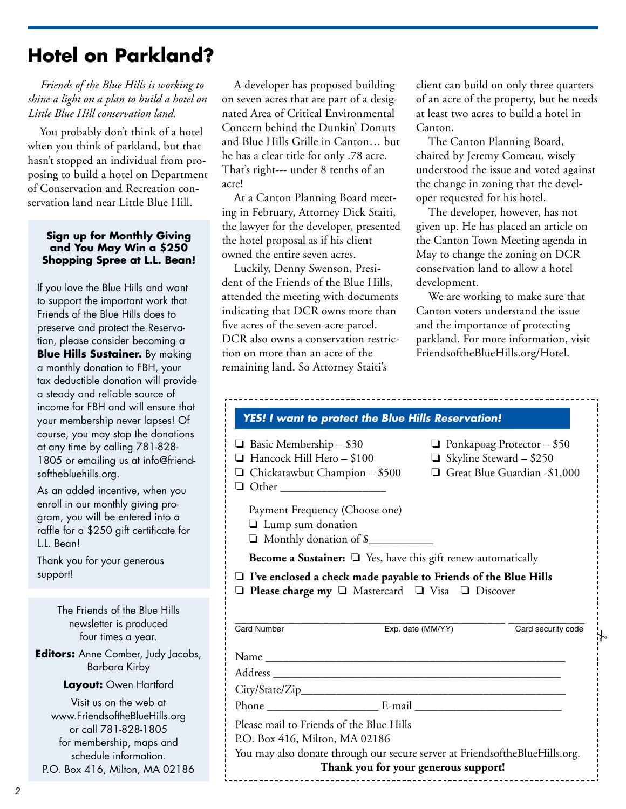# **Hotel on Parkland?**

*Friends of the Blue Hills is working to shine a light on a plan to build a hotel on Little Blue Hill conservation land.*

You probably don't think of a hotel when you think of parkland, but that hasn't stopped an individual from proposing to build a hotel on Department of Conservation and Recreation conservation land near Little Blue Hill.

### **Sign up for Monthly Giving and You May Win a \$250 Shopping Spree at L.L. Bean!**

If you love the Blue Hills and want to support the important work that Friends of the Blue Hills does to preserve and protect the Reservation, please consider becoming a **Blue Hills Sustainer.** By making a monthly donation to FBH, your tax deductible donation will provide a steady and reliable source of income for FBH and will ensure that your membership never lapses! Of course, you may stop the donations at any time by calling 781-828- 1805 or emailing us at info@friendsofthebluehills.org.

As an added incentive, when you enroll in our monthly giving program, you will be entered into a raffle for a \$250 gift certificate for L.L. Bean!

Thank you for your generous support!

> The Friends of the Blue Hills newsletter is produced four times a year.

**Editors:** Anne Comber, Judy Jacobs, Barbara Kirby

**Layout:** Owen Hartford

Visit us on the web at www.FriendsoftheBlueHills.org or call 781-828-1805 for membership, maps and schedule information. P.O. Box 416, Milton, MA 02186

A developer has proposed building on seven acres that are part of a designated Area of Critical Environmental Concern behind the Dunkin' Donuts and Blue Hills Grille in Canton… but he has a clear title for only .78 acre. That's right--- under 8 tenths of an acre!

At a Canton Planning Board meeting in February, Attorney Dick Staiti, the lawyer for the developer, presented the hotel proposal as if his client owned the entire seven acres.

Luckily, Denny Swenson, President of the Friends of the Blue Hills, attended the meeting with documents indicating that DCR owns more than five acres of the seven-acre parcel. DCR also owns a conservation restriction on more than an acre of the remaining land. So Attorney Staiti's

client can build on only three quarters of an acre of the property, but he needs at least two acres to build a hotel in Canton.

The Canton Planning Board, chaired by Jeremy Comeau, wisely understood the issue and voted against the change in zoning that the developer requested for his hotel.

The developer, however, has not given up. He has placed an article on the Canton Town Meeting agenda in May to change the zoning on DCR conservation land to allow a hotel development.

We are working to make sure that Canton voters understand the issue and the importance of protecting parkland. For more information, visit FriendsoftheBlueHills.org/Hotel.

|                                                                                                                                        | YES! I want to protect the Blue Hills Reservation!                                                                                                                   |                                                                                                     |
|----------------------------------------------------------------------------------------------------------------------------------------|----------------------------------------------------------------------------------------------------------------------------------------------------------------------|-----------------------------------------------------------------------------------------------------|
| $\Box$ Basic Membership - \$30<br>$\Box$ Hancock Hill Hero - \$100<br>$\Box$ Chickatawbut Champion – \$500<br>Other __________________ |                                                                                                                                                                      | $\Box$ Ponkapoag Protector - \$50<br>$\Box$ Skyline Steward - \$250<br>Great Blue Guardian -\$1,000 |
| Payment Frequency (Choose one)<br>I Lump sum donation<br>Monthly donation of \$                                                        |                                                                                                                                                                      |                                                                                                     |
|                                                                                                                                        | Become a Sustainer: $\square$ Yes, have this gift renew automatically                                                                                                |                                                                                                     |
|                                                                                                                                        |                                                                                                                                                                      |                                                                                                     |
| Card Number                                                                                                                            | $\Box$ I've enclosed a check made payable to Friends of the Blue Hills<br>$\Box$ Please charge my $\Box$ Mastercard $\Box$ Visa $\Box$ Discover<br>Exp. date (MM/YY) | Card security code                                                                                  |
|                                                                                                                                        |                                                                                                                                                                      |                                                                                                     |
|                                                                                                                                        |                                                                                                                                                                      |                                                                                                     |
|                                                                                                                                        |                                                                                                                                                                      |                                                                                                     |
|                                                                                                                                        |                                                                                                                                                                      |                                                                                                     |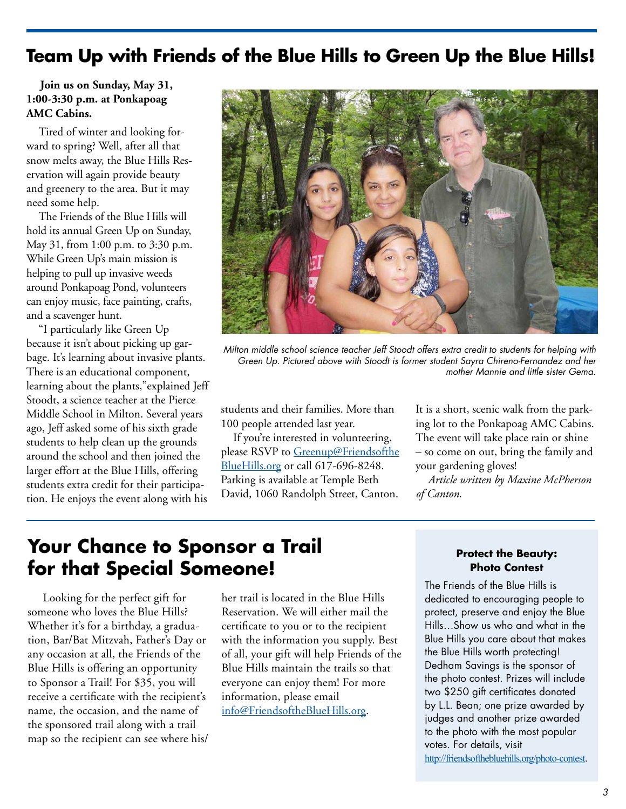### **Team Up with Friends of the Blue Hills to Green Up the Blue Hills!**

### **Join us on Sunday, May 31, 1:00-3:30 p.m. at Ponkapoag AMC Cabins.**

Tired of winter and looking forward to spring? Well, after all that snow melts away, the Blue Hills Reservation will again provide beauty and greenery to the area. But it may need some help.

The Friends of the Blue Hills will hold its annual Green Up on Sunday, May 31, from 1:00 p.m. to 3:30 p.m. While Green Up's main mission is helping to pull up invasive weeds around Ponkapoag Pond, volunteers can enjoy music, face painting, crafts, and a scavenger hunt.

"I particularly like Green Up because it isn't about picking up garbage. It's learning about invasive plants. There is an educational component, learning about the plants,"explained Jeff Stoodt, a science teacher at the Pierce Middle School in Milton. Several years ago, Jeff asked some of his sixth grade students to help clean up the grounds around the school and then joined the larger effort at the Blue Hills, offering students extra credit for their participation. He enjoys the event along with his



Milton middle school science teacher Jeff Stoodt offers extra credit to students for helping with Green Up. Pictured above with Stoodt is former student Sayra Chireno-Fernandez and her mother Mannie and little sister Gema.

students and their families. More than 100 people attended last year.

If you're interested in volunteering, please RSVP to Greenup@Friendsofthe BlueHills.org or call 617-696-8248. Parking is available at Temple Beth David, 1060 Randolph Street, Canton.

It is a short, scenic walk from the parking lot to the Ponkapoag AMC Cabins. The event will take place rain or shine – so come on out, bring the family and your gardening gloves!

*Article written by Maxine McPherson of Canton*.

### **Your Chance to Sponsor a Trail for that Special Someone!**

 Looking for the perfect gift for someone who loves the Blue Hills? Whether it's for a birthday, a graduation, Bar/Bat Mitzvah, Father's Day or any occasion at all, the Friends of the Blue Hills is offering an opportunity to Sponsor a Trail! For \$35, you will receive a certificate with the recipient's name, the occasion, and the name of the sponsored trail along with a trail map so the recipient can see where his/ her trail is located in the Blue Hills Reservation. We will either mail the certificate to you or to the recipient with the information you supply. Best of all, your gift will help Friends of the Blue Hills maintain the trails so that everyone can enjoy them! For more information, please email info@FriendsoftheBlueHills.org.

### **Protect the Beauty: Photo Contest**

The Friends of the Blue Hills is dedicated to encouraging people to protect, preserve and enjoy the Blue Hills…Show us who and what in the Blue Hills you care about that makes the Blue Hills worth protecting! Dedham Savings is the sponsor of the photo contest. Prizes will include two \$250 gift certificates donated by L.L. Bean; one prize awarded by judges and another prize awarded to the photo with the most popular votes. For details, visit http://friendsofthebluehills.org/photo-contest.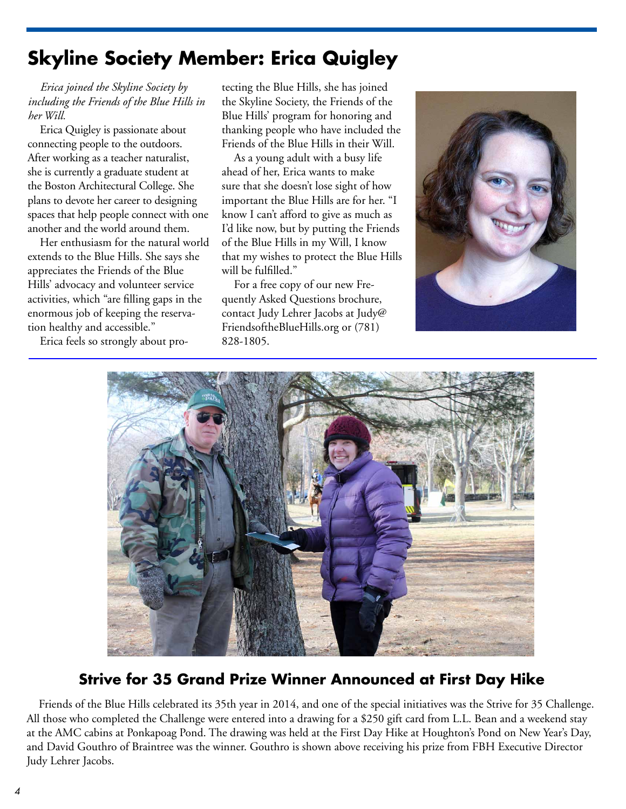## **Skyline Society Member: Erica Quigley**

*Erica joined the Skyline Society by including the Friends of the Blue Hills in her Will.*

Erica Quigley is passionate about connecting people to the outdoors. After working as a teacher naturalist, she is currently a graduate student at the Boston Architectural College. She plans to devote her career to designing spaces that help people connect with one another and the world around them.

Her enthusiasm for the natural world extends to the Blue Hills. She says she appreciates the Friends of the Blue Hills' advocacy and volunteer service activities, which "are filling gaps in the enormous job of keeping the reservation healthy and accessible."

Erica feels so strongly about pro-

tecting the Blue Hills, she has joined the Skyline Society, the Friends of the Blue Hills' program for honoring and thanking people who have included the Friends of the Blue Hills in their Will.

As a young adult with a busy life ahead of her, Erica wants to make sure that she doesn't lose sight of how important the Blue Hills are for her. "I know I can't afford to give as much as I'd like now, but by putting the Friends of the Blue Hills in my Will, I know that my wishes to protect the Blue Hills will be fulfilled."

For a free copy of our new Frequently Asked Questions brochure, contact Judy Lehrer Jacobs at Judy@ FriendsoftheBlueHills.org or (781) 828-1805.





### **Strive for 35 Grand Prize Winner Announced at First Day Hike**

Friends of the Blue Hills celebrated its 35th year in 2014, and one of the special initiatives was the Strive for 35 Challenge. All those who completed the Challenge were entered into a drawing for a \$250 gift card from L.L. Bean and a weekend stay at the AMC cabins at Ponkapoag Pond. The drawing was held at the First Day Hike at Houghton's Pond on New Year's Day, and David Gouthro of Braintree was the winner. Gouthro is shown above receiving his prize from FBH Executive Director Judy Lehrer Jacobs.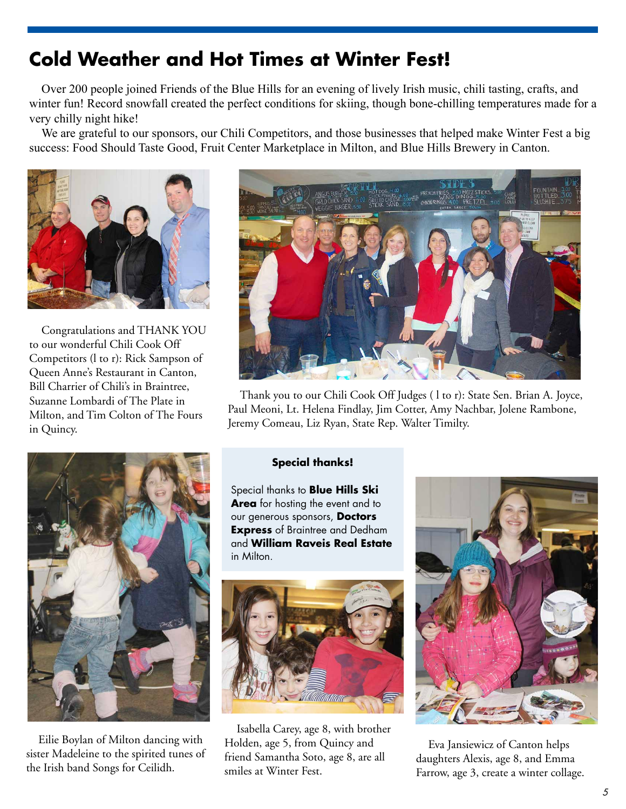## **Cold Weather and Hot Times at Winter Fest!**

Over 200 people joined Friends of the Blue Hills for an evening of lively Irish music, chili tasting, crafts, and winter fun! Record snowfall created the perfect conditions for skiing, though bone-chilling temperatures made for a very chilly night hike!

We are grateful to our sponsors, our Chili Competitors, and those businesses that helped make Winter Fest a big success: Food Should Taste Good, Fruit Center Marketplace in Milton, and Blue Hills Brewery in Canton.



Congratulations and THANK YOU to our wonderful Chili Cook Off Competitors (l to r): Rick Sampson of Queen Anne's Restaurant in Canton, Bill Charrier of Chili's in Braintree, Suzanne Lombardi of The Plate in Milton, and Tim Colton of The Fours in Quincy.



Thank you to our Chili Cook Off Judges ( l to r): State Sen. Brian A. Joyce, Paul Meoni, Lt. Helena Findlay, Jim Cotter, Amy Nachbar, Jolene Rambone, Jeremy Comeau, Liz Ryan, State Rep. Walter Timilty.



Eilie Boylan of Milton dancing with sister Madeleine to the spirited tunes of the Irish band Songs for Ceilidh.

### **Special thanks!**

Special thanks to **Blue Hills Ski Area** for hosting the event and to our generous sponsors, **Doctors Express** of Braintree and Dedham and **William Raveis Real Estate**  in Milton.



Isabella Carey, age 8, with brother Holden, age 5, from Quincy and friend Samantha Soto, age 8, are all smiles at Winter Fest.



Eva Jansiewicz of Canton helps daughters Alexis, age 8, and Emma Farrow, age 3, create a winter collage.